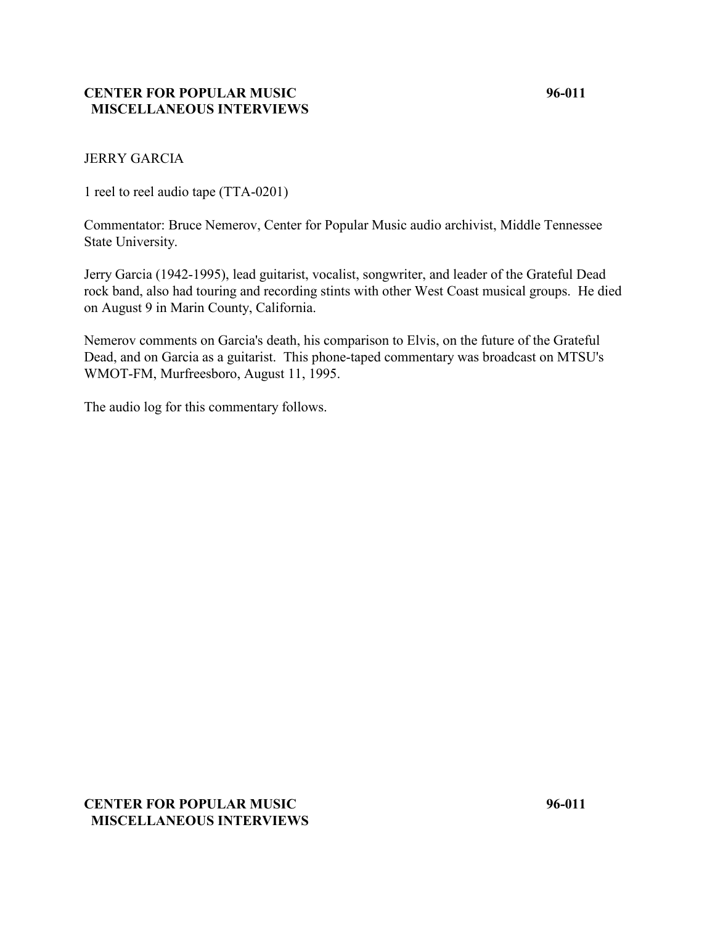## **CENTER FOR POPULAR MUSIC 96-011 MISCELLANEOUS INTERVIEWS**

## JERRY GARCIA

1 reel to reel audio tape (TTA-0201)

Commentator: Bruce Nemerov, Center for Popular Music audio archivist, Middle Tennessee State University.

Jerry Garcia (1942-1995), lead guitarist, vocalist, songwriter, and leader of the Grateful Dead rock band, also had touring and recording stints with other West Coast musical groups. He died on August 9 in Marin County, California.

Nemerov comments on Garcia's death, his comparison to Elvis, on the future of the Grateful Dead, and on Garcia as a guitarist. This phone-taped commentary was broadcast on MTSU's WMOT-FM, Murfreesboro, August 11, 1995.

The audio log for this commentary follows.

# **CENTER FOR POPULAR MUSIC 96-011 MISCELLANEOUS INTERVIEWS**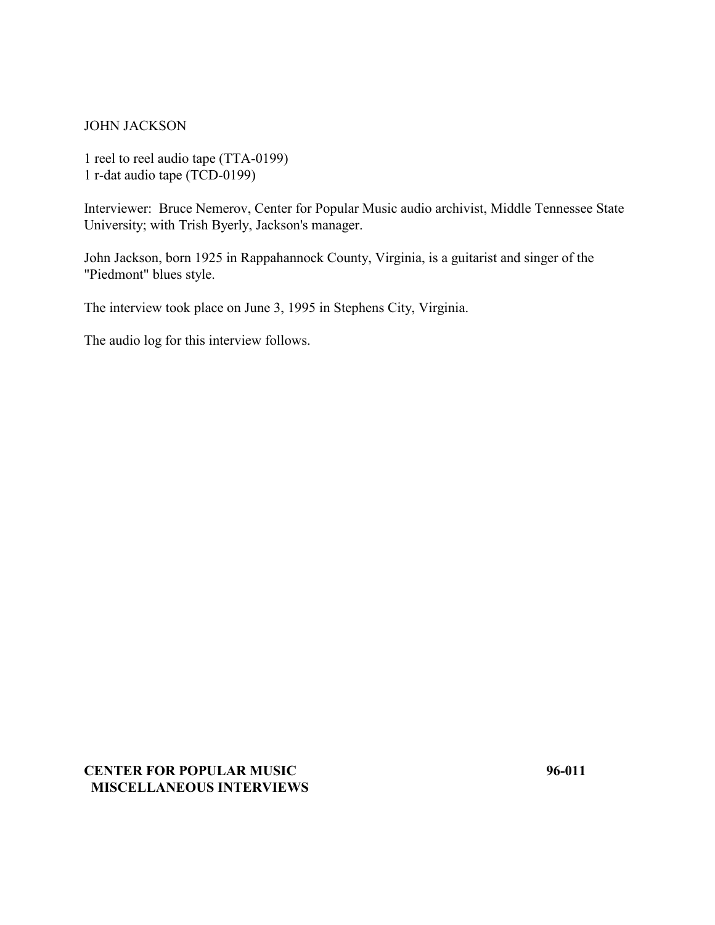#### JOHN JACKSON

1 reel to reel audio tape (TTA-0199) 1 r-dat audio tape (TCD-0199)

Interviewer: Bruce Nemerov, Center for Popular Music audio archivist, Middle Tennessee State University; with Trish Byerly, Jackson's manager.

John Jackson, born 1925 in Rappahannock County, Virginia, is a guitarist and singer of the "Piedmont" blues style.

The interview took place on June 3, 1995 in Stephens City, Virginia.

The audio log for this interview follows.

## **CENTER FOR POPULAR MUSIC 96-011 MISCELLANEOUS INTERVIEWS**